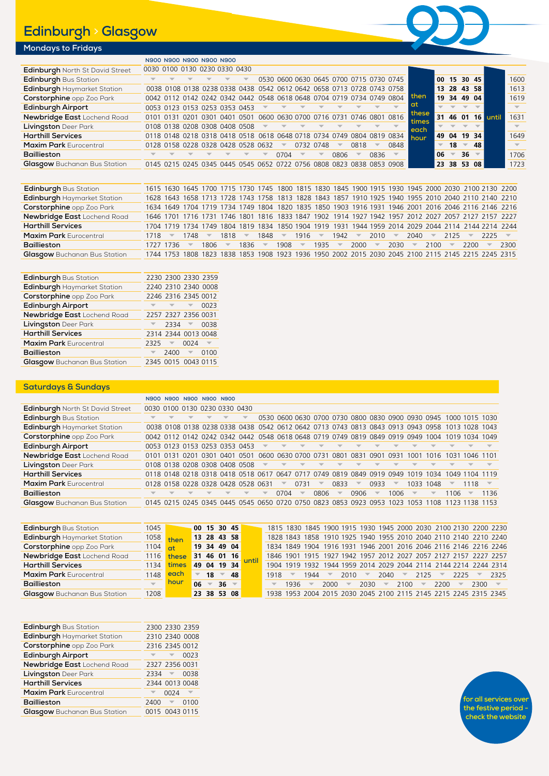# **Edinburgh** > **Glasgow**



## **Mondays to Fridays**

| N900 N900 N900 N900 N900<br>0030 0100 0130 0230 0330 0430<br>Edinburgh North St David Street<br>Edinburgh Bus Station<br>0530 0600 0630 0645 0700 0715 0730 0745<br>$00$ 15 30 45                                                                            | 1600<br>1613 |
|--------------------------------------------------------------------------------------------------------------------------------------------------------------------------------------------------------------------------------------------------------------|--------------|
|                                                                                                                                                                                                                                                              |              |
|                                                                                                                                                                                                                                                              |              |
| Edinburgh Haymarket Station<br>0038 0108 0138 0238 0338 0438 0542 0612 0642 0658 0713 0728 0743 0758<br>13 28 43 58                                                                                                                                          |              |
| then<br>Corstorphine opp Zoo Park<br>0042 0112 0142 0242 0342 0442 0548 0618 0648 0704 0719 0734 0749 0804<br>19 34 49 04                                                                                                                                    | 1619         |
| at<br>Edinburgh Airport<br>0053 0123 0153 0253 0353 0453                                                                                                                                                                                                     |              |
| these<br>Newbridge East Lochend Road<br>0101 0131 0201 0301 0401 0501 0600 0630 0700 0716 0731 0746 0801 0816<br>31 46 01 16 until<br>times                                                                                                                  | 1631         |
| Livingston Deer Park<br>0108 0138 0208 0308 0408 0508<br>each                                                                                                                                                                                                |              |
| <b>Harthill Services</b><br>0118 0148 0218 0318 0418 0518 0618 0648 0718 0734 0749 0804 0819 0834<br>49 04 19 34<br>hour                                                                                                                                     | 1649         |
| <b>Maxim Park Eurocentral</b><br>0128 0158 0228 0328 0428 0528 0632<br>0732 0748<br>0818<br>0848<br>48<br>18<br>$\overline{\phantom{a}}$                                                                                                                     |              |
| <b>Baillieston</b><br>$36 =$<br>0704<br>06<br>0806<br>0836<br>$\overline{\phantom{a}}$<br>$\overline{\phantom{m}}$<br>$\overline{\phantom{a}}$<br>$\overline{\mathbb{V}}$<br>$\overline{\phantom{a}}$<br>$\overline{\mathbf{v}}$<br>$\overline{\phantom{a}}$ | 1706         |
| Glasgow Buchanan Bus Station<br>0145 0215 0245 0345 0445 0545 0652 0722 0756 0808 0823 0838 0853 0908<br>23 38 53 08                                                                                                                                         | 1723         |

| <b>Edinburgh Bus Station</b>        |           |                          |                          |                          |      |                          |               |      |                          |          |      |                          |                         |                          |          |      |                          |      |                                                                                                     | 1615 1630 1645 1700 1715 1730 1745 1800 1815 1830 1845 1900 1915 1930 1945 2000 2030 2100 2130 2200 |
|-------------------------------------|-----------|--------------------------|--------------------------|--------------------------|------|--------------------------|---------------|------|--------------------------|----------|------|--------------------------|-------------------------|--------------------------|----------|------|--------------------------|------|-----------------------------------------------------------------------------------------------------|-----------------------------------------------------------------------------------------------------|
| Edinburgh Haymarket Station         |           |                          |                          |                          |      |                          |               |      |                          |          |      |                          |                         |                          |          |      |                          |      | 1628 1643 1658 1713 1728 1743 1758 1813 1828 1843 1857 1910 1925 1940 1955 2010 2040 2110 2140 2210 |                                                                                                     |
| <b>Corstorphine</b> opp Zoo Park    |           |                          |                          |                          |      |                          |               |      |                          |          |      |                          |                         |                          |          |      |                          |      |                                                                                                     | 1634 1649 1704 1719 1734 1749 1804 1820 1835 1850 1903 1916 1931 1946 2001 2016 2046 2116 2146 2216 |
| Newbridge East Lochend Road         |           |                          |                          |                          |      |                          |               |      |                          |          |      |                          |                         |                          |          |      |                          |      | 1646 1701 1716 1731 1746 1801 1816 1833 1847 1902 1914 1927 1942 1957 2012 2027 2057 2127 2157 2227 |                                                                                                     |
| <b>Harthill Services</b>            |           |                          |                          |                          |      |                          |               |      |                          |          |      |                          |                         |                          |          |      |                          |      |                                                                                                     | 1704 1719 1734 1749 1804 1819 1834 1850 1904 1919 1931 1944 1959 2014 2029 2044 2114 2144 2214 2244 |
| <b>Maxim Park Eurocentral</b>       | 1718      | $\overline{\phantom{a}}$ | 1748                     | $\overline{\phantom{a}}$ | 1818 | $\overline{\phantom{a}}$ | $1848 =$      |      | $1916 =$                 |          | 1942 | $\overline{\phantom{a}}$ | 2010                    | $\overline{\phantom{a}}$ | $2040 =$ |      | $2125 =$                 |      | $2225 =$                                                                                            |                                                                                                     |
| Baillieston                         | 1727 1736 |                          | $\overline{\phantom{m}}$ | $1806 =$                 |      | 1836                     | $\sim$ $\sim$ | 1908 | $\overline{\phantom{m}}$ | $1935 =$ |      | 2000                     | $\overline{\mathbf{v}}$ | $2030 =$                 |          | 2100 | $\overline{\phantom{a}}$ | 2200 | $\overline{\phantom{m}}$                                                                            | 2300                                                                                                |
| <b>Glasgow</b> Buchanan Bus Station |           |                          |                          |                          |      |                          |               |      |                          |          |      |                          |                         |                          |          |      |                          |      | 1744 1753 1808 1823 1838 1853 1908 1923 1936 1950 2002 2015 2030 2045 2100 2115 2145 2215 2245 2315 |                                                                                                     |

| Edinburgh Bus Station               |          |          | 2230 2300 2330 2359         |      |
|-------------------------------------|----------|----------|-----------------------------|------|
| Edinburgh Haymarket Station         |          |          | 2240 2310 2340 0008         |      |
| Corstorphine opp Zoo Park           |          |          | 2246 2316 2345 0012         |      |
| Edinburgh Airport                   |          |          |                             | 0023 |
| Newbridge East Lochend Road         |          |          | 2257 2327 2356 0031         |      |
| <b>Livingston</b> Deer Park         |          | $2334 =$ |                             | 0038 |
| <b>Harthill Services</b>            |          |          | 2314 2344 0013 0048         |      |
| <b>Maxim Park Eurocentral</b>       | $2325 =$ |          | 0024                        |      |
| <b>Baillieston</b>                  |          | 2400     | $\mathcal{A}^{\mathcal{A}}$ | 0100 |
| <b>Glasgow</b> Buchanan Bus Station |          |          | 2345 0015 0043 0115         |      |

#### **Saturdays & Sundays**

|                                        |                                    | N900 N900 N900 N900 N900 |  |                                                                                                |                                         |                          |                                                 |                          |                          |                          |                         |                         |                                                                  |                          |      |                          |           |
|----------------------------------------|------------------------------------|--------------------------|--|------------------------------------------------------------------------------------------------|-----------------------------------------|--------------------------|-------------------------------------------------|--------------------------|--------------------------|--------------------------|-------------------------|-------------------------|------------------------------------------------------------------|--------------------------|------|--------------------------|-----------|
| <b>Edinburgh</b> North St David Street | 0030 0100 0130 0230 0330 0430      |                          |  |                                                                                                |                                         |                          |                                                 |                          |                          |                          |                         |                         |                                                                  |                          |      |                          |           |
| <b>Edinburgh Bus Station</b>           |                                    |                          |  |                                                                                                |                                         |                          |                                                 |                          |                          |                          |                         |                         | 0530 0600 0630 0700 0730 0800 0830 0900 0930 0945 1000 1015 1030 |                          |      |                          |           |
| Edinburgh Haymarket Station            |                                    |                          |  | 0038 0108 0138 0238 0338 0438 0542 0612 0642 0713 0743 0813 0843 0913 0943 0958 1013 1028 1043 |                                         |                          |                                                 |                          |                          |                          |                         |                         |                                                                  |                          |      |                          |           |
| Corstorphine opp Zoo Park              |                                    |                          |  | 0042 0112 0142 0242 0342 0442 0548 0618 0648 0719 0749 0819 0849 0919 0949 1004 1019 1034 1049 |                                         |                          |                                                 |                          |                          |                          |                         |                         |                                                                  |                          |      |                          |           |
| Edinburgh Airport                      |                                    |                          |  | 0053 0123 0153 0253 0353 0453                                                                  | $\overline{\phantom{a}}$                |                          | $\overline{\mathbf{v}}$ $\overline{\mathbf{v}}$ |                          |                          |                          |                         |                         |                                                                  |                          |      |                          |           |
| Newbridge East Lochend Road            | 0101 0131 0201 0301 0401 0501      |                          |  |                                                                                                | 0600 0630 0700 0731 0801 0831 0901 0931 |                          |                                                 |                          |                          |                          |                         |                         | 1001 1016 1031 1046 1101                                         |                          |      |                          |           |
| <b>Livingston</b> Deer Park            |                                    |                          |  | 0108 0138 0208 0308 0408 0508                                                                  | $\overline{\mathbf{v}}$                 |                          |                                                 | $\overline{\phantom{a}}$ |                          | $\overline{\phantom{a}}$ |                         |                         |                                                                  |                          |      |                          |           |
| <b>Harthill Services</b>               |                                    |                          |  | 0118 0148 0218 0318 0418 0518 0617 0647 0717 0749 0819 0849 0919 0949 1019 1034 1049 1104 1119 |                                         |                          |                                                 |                          |                          |                          |                         |                         |                                                                  |                          |      |                          |           |
| <b>Maxim Park Eurocentral</b>          | 0128 0158 0228 0328 0428 0528 0631 |                          |  |                                                                                                |                                         | $\overline{\phantom{0}}$ | 0731                                            | $\overline{\phantom{a}}$ | 0833                     | $\overline{\phantom{m}}$ | 0933                    | $\overline{\mathbf{v}}$ |                                                                  | 1033 1048                |      | 1118                     |           |
| <b>Baillieston</b>                     |                                    |                          |  |                                                                                                | $\overline{\mathbb{V}}$                 | 0704                     | $\overline{\phantom{a}}$                        | 0806                     | $\overline{\phantom{a}}$ | 0906                     | $\overline{\mathbf{v}}$ | 1006                    | $\overline{\mathbf{v}}$                                          | $\overline{\mathcal{N}}$ | 1106 | $\overline{\phantom{a}}$ | 1136      |
| <b>Glasgow</b> Buchanan Bus Station    |                                    |                          |  | 0145 0215 0245 0345 0445 0545 0650 0720 0750 0823 0853 0923 0953 1023 1053 1108                |                                         |                          |                                                 |                          |                          |                          |                         |                         |                                                                  |                          |      |                          | 1138 1153 |
|                                        |                                    |                          |  |                                                                                                |                                         |                          |                                                 |                          |                          |                          |                         |                         |                                                                  |                          |      |                          |           |

| <b>Edinburgh Bus Station</b>        |                      | 1045 00 15 30 45             |     |                          |             |  |                          |                          |               |                          |                          |          |      |                 |      |                          |                                                                  | 1815 1830 1845 1900 1915 1930 1945 2000 2030 2100 2130 2200 2230 |
|-------------------------------------|----------------------|------------------------------|-----|--------------------------|-------------|--|--------------------------|--------------------------|---------------|--------------------------|--------------------------|----------|------|-----------------|------|--------------------------|------------------------------------------------------------------|------------------------------------------------------------------|
| Edinburgh Haymarket Station         | $1058$ then          |                              |     |                          | 13 28 43 58 |  |                          |                          |               |                          |                          |          |      |                 |      |                          |                                                                  | 1828 1843 1858 1910 1925 1940 1955 2010 2040 2110 2140 2210 2240 |
| Corstorphine opp Zoo Park           | $1104$ <sub>ot</sub> | 19344904                     |     |                          |             |  |                          |                          |               |                          |                          |          |      |                 |      |                          | 1834 1849 1904 1916 1931 1946 2001 2016 2046 2116 2146 2216 2246 |                                                                  |
| Newbridge East Lochend Road         |                      | 1116 these 31 46 01 16       |     |                          |             |  |                          |                          |               |                          |                          |          |      |                 |      |                          | 1846 1901 1915 1927 1942 1957 2012 2027 2057 2127 2157 2227 2257 |                                                                  |
| Harthill Services                   |                      | 1134 times 49 04 19 34 until |     |                          |             |  |                          |                          |               |                          |                          |          |      |                 |      |                          | 1904 1919 1932 1944 1959 2014 2029 2044 2114 2144 2214 2244 2314 |                                                                  |
| Maxim Park Eurocentral              |                      | $1148$ each $-18$ $-48$      |     |                          |             |  | 1918                     | $\overline{\phantom{a}}$ | 1944          | $\overline{\phantom{a}}$ | $2010 =$                 |          |      | $2040 = 2125 =$ |      |                          | $2225 = 2325$                                                    |                                                                  |
| Baillieston                         |                      | <b>hour</b>                  | 06. | $\overline{\phantom{a}}$ | $36 =$      |  | $\overline{\phantom{a}}$ | 1936                     | $\rightarrow$ | 2000                     | $\overline{\phantom{m}}$ | $2030 =$ | 2100 | $\sim$ $\sim$   | 2200 | $\overline{\phantom{a}}$ | 2300                                                             |                                                                  |
| <b>Glasgow</b> Buchanan Bus Station | 1208                 |                              |     |                          | 23 38 53 08 |  |                          |                          |               |                          |                          |          |      |                 |      |                          | 1938 1953 2004 2015 2030 2045 2100 2115 2145 2215 2245 2315 2345 |                                                                  |

| Edinburgh Bus Station               |          | 2300 2330 2359 |      |
|-------------------------------------|----------|----------------|------|
| Edinburgh Haymarket Station         |          | 2310 2340 0008 |      |
| Corstorphine opp Zoo Park           |          | 2316 2345 0012 |      |
| Edinburgh Airport                   |          |                | 0023 |
| Newbridge East Lochend Road         |          | 2327 2356 0031 |      |
| Livingston Deer Park                | $2334 =$ |                | 0038 |
| <b>Harthill Services</b>            |          | 2344 0013 0048 |      |
| <b>Maxim Park Eurocentral</b>       |          | 0024           |      |
| <b>Baillieston</b>                  | 2400     |                | 0100 |
| <b>Glasgow</b> Buchanan Bus Station |          | 0015 0043 0115 |      |